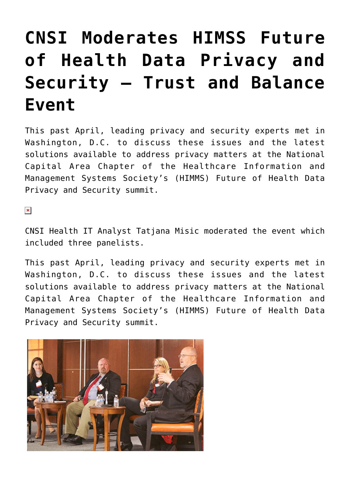## **[CNSI Moderates HIMSS Future](https://www.cns-inc.com/insights/thought-leadership/cnsi-moderates-himss-future-of-health-data-privacy-and-security-trust-and-balance-event/) [of Health Data Privacy and](https://www.cns-inc.com/insights/thought-leadership/cnsi-moderates-himss-future-of-health-data-privacy-and-security-trust-and-balance-event/) [Security – Trust and Balance](https://www.cns-inc.com/insights/thought-leadership/cnsi-moderates-himss-future-of-health-data-privacy-and-security-trust-and-balance-event/) [Event](https://www.cns-inc.com/insights/thought-leadership/cnsi-moderates-himss-future-of-health-data-privacy-and-security-trust-and-balance-event/)**

This past April, leading privacy and security experts met in Washington, D.C. to discuss these issues and the latest solutions available to address privacy matters at the National Capital Area Chapter of the Healthcare Information and Management Systems Society's (HIMMS) Future of Health Data Privacy and Security summit.

 $\pmb{\times}$ 

CNSI Health IT Analyst Tatjana Misic moderated the event which included three panelists.

This past April, leading privacy and security experts met in Washington, D.C. to discuss these issues and the latest solutions available to address privacy matters at the National Capital Area Chapter of the Healthcare Information and Management Systems Society's (HIMMS) Future of Health Data Privacy and Security summit.

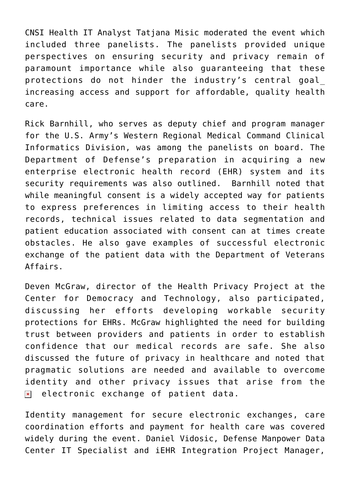CNSI Health IT Analyst Tatjana Misic moderated the event which included three panelists. The panelists provided unique perspectives on ensuring security and privacy remain of paramount importance while also guaranteeing that these protections do not hinder the industry's central goal\_ increasing access and support for affordable, quality health care.

Rick Barnhill, who serves as deputy chief and program manager for the U.S. Army's Western Regional Medical Command Clinical Informatics Division, was among the panelists on board. The Department of Defense's preparation in acquiring a new enterprise electronic health record (EHR) system and its security requirements was also outlined. Barnhill noted that while meaningful consent is a widely accepted way for patients to express preferences in limiting access to their health records, technical issues related to data segmentation and patient education associated with consent can at times create obstacles. He also gave examples of successful electronic exchange of the patient data with the Department of Veterans Affairs.

Deven McGraw, director of the Health Privacy Project at the Center for Democracy and Technology, also participated, discussing her efforts developing workable security protections for EHRs. McGraw highlighted the need for building trust between providers and patients in order to establish confidence that our medical records are safe. She also discussed the future of privacy in healthcare and noted that pragmatic solutions are needed and available to overcome identity and other privacy issues that arise from the electronic exchange of patient data.  $\pmb{\times}$ 

Identity management for secure electronic exchanges, care coordination efforts and payment for health care was covered widely during the event. Daniel Vidosic, Defense Manpower Data Center IT Specialist and iEHR Integration Project Manager,